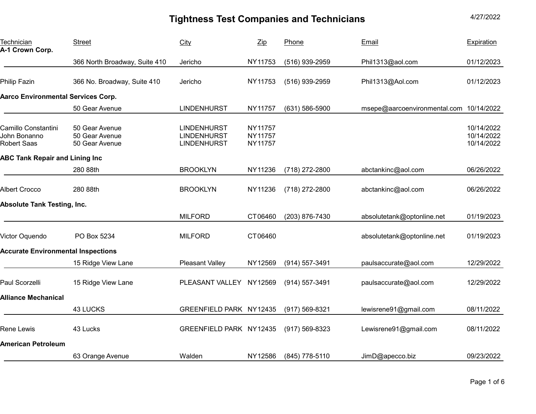| Technician<br>A-1 Crown Corp.                             | <b>Street</b>                                      | City                                                           | $\mathsf{Zip}$                | Phone              | Email                                   | Expiration                             |
|-----------------------------------------------------------|----------------------------------------------------|----------------------------------------------------------------|-------------------------------|--------------------|-----------------------------------------|----------------------------------------|
|                                                           | 366 North Broadway, Suite 410                      | Jericho                                                        | NY11753                       | (516) 939-2959     | Phil1313@aol.com                        | 01/12/2023                             |
| <b>Philip Fazin</b>                                       | 366 No. Broadway, Suite 410                        | Jericho                                                        | NY11753                       | $(516)$ 939-2959   | Phil1313@Aol.com                        | 01/12/2023                             |
| <b>Aarco Environmental Services Corp.</b>                 |                                                    |                                                                |                               |                    |                                         |                                        |
|                                                           | 50 Gear Avenue                                     | <b>LINDENHURST</b>                                             | <b>NY11757</b>                | (631) 586-5900     | msepe@aarcoenvironmental.com 10/14/2022 |                                        |
| Camillo Constantini<br>John Bonanno<br><b>Robert Saas</b> | 50 Gear Avenue<br>50 Gear Avenue<br>50 Gear Avenue | <b>LINDENHURST</b><br><b>LINDENHURST</b><br><b>LINDENHURST</b> | NY11757<br>NY11757<br>NY11757 |                    |                                         | 10/14/2022<br>10/14/2022<br>10/14/2022 |
| <b>ABC Tank Repair and Lining Inc</b>                     |                                                    |                                                                |                               |                    |                                         |                                        |
|                                                           | 280 88th                                           | <b>BROOKLYN</b>                                                | NY11236                       | (718) 272-2800     | abctankinc@aol.com                      | 06/26/2022                             |
| <b>Albert Crocco</b>                                      | 280 88th                                           | <b>BROOKLYN</b>                                                | NY11236                       | (718) 272-2800     | abctankinc@aol.com                      | 06/26/2022                             |
| <b>Absolute Tank Testing, Inc.</b>                        |                                                    |                                                                |                               |                    |                                         |                                        |
|                                                           |                                                    | <b>MILFORD</b>                                                 | CT06460                       | (203) 876-7430     | absolutetank@optonline.net              | 01/19/2023                             |
| Victor Oquendo                                            | PO Box 5234                                        | <b>MILFORD</b>                                                 | CT06460                       |                    | absolutetank@optonline.net              | 01/19/2023                             |
| <b>Accurate Environmental Inspections</b>                 |                                                    |                                                                |                               |                    |                                         |                                        |
|                                                           | 15 Ridge View Lane                                 | <b>Pleasant Valley</b>                                         | NY12569                       | (914) 557-3491     | paulsaccurate@aol.com                   | 12/29/2022                             |
| Paul Scorzelli                                            | 15 Ridge View Lane                                 | PLEASANT VALLEY NY12569                                        |                               | (914) 557-3491     | paulsaccurate@aol.com                   | 12/29/2022                             |
| <b>Alliance Mechanical</b>                                |                                                    |                                                                |                               |                    |                                         |                                        |
|                                                           | 43 LUCKS                                           | GREENFIELD PARK NY12435                                        |                               | $(917) 569 - 8321$ | lewisrene91@gmail.com                   | 08/11/2022                             |
| Rene Lewis                                                | 43 Lucks                                           | GREENFIELD PARK NY12435                                        |                               | (917) 569-8323     | Lewisrene91@gmail.com                   | 08/11/2022                             |
| <b>American Petroleum</b>                                 |                                                    |                                                                |                               |                    |                                         |                                        |
|                                                           | 63 Orange Avenue                                   | Walden                                                         | NY12586                       | (845) 778-5110     | JimD@apecco.biz                         | 09/23/2022                             |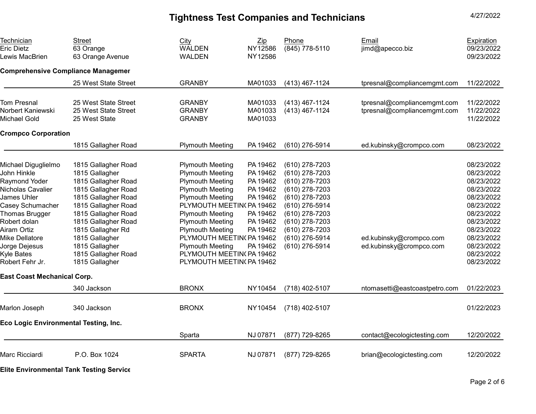Technician Eric Dietz Lewis MacBrien Street 63 Orange 63 Orange Avenue City WALDEN WALDEN Zip NY12586 NY12586 Phone (845) 778-5110 Email jimd@apecco.biz Expiration 09/23/2022 09/23/2022 **Comprehensive Compliance Managemen**  25 West State Street GRANBY MA01033 (413) 467-1124 tpresnal@compliancemgmt.com 11/22/2022 Tom Presnal 25 West State Street GRANBY MA01033 (413) 467-1124 [tpresnal@compliancemgmt.com](mailto:tpresnal@compliancemgmt.com) 11/22/2022 Norbert Kaniewski 25 West State Street GRANBY MA01033 (413) 467-1124 [tpresnal@compliancemgmt.com](mailto:tpresnal@compliancemgmt.com) 11/22/2022 Michael Gold 25 West State GRANBY MA01033 11/22/2022 **Crompco Corporation**  1815 Gallagher Road Plymouth Meeting PA 19462 (610) 276-5914 [ed.kubinsky@crompco.com](mailto:ed.kubinsky@crompco.com) 08/23/2022 Michael Diguglielmo 1815 Gallagher Road Plymouth Meeting PA 19462 (610) 278-7203 08/23/2022 John Hinkle 1815 Gallagher Plymouth Meeting PA 19462 (610) 278-7203 08/23/2022 Raymond Yoder 1815 Gallagher Road Plymouth Meeting PA 19462 (610) 278-7203 08/23/2022 Nicholas Cavalier 1815 Gallagher Road Plymouth Meeting PA 19462 (610) 278-7203 08/23/2022 James Uhler 1815 Gallagher Road Plymouth Meeting PA 19462 (610) 278-7203 08/23/2022 Casey Schumacher 1815 Gallagher Road PLYMOUTH MEETINGPA 19462 (610) 276-5914 08/23/2022 Thomas Brugger 1815 Gallagher Road Plymouth Meeting PA 19462 (610) 278-7203 08/23/2022 Robert dolan 1815 Gallagher Road Plymouth Meeting PA 19462 (610) 278-7203 08/23/2022 Airam Ortiz 1815 Gallagher Rd Plymouth Meeting PA 19462 (610) 278-7203 08/23/2022 Mike Dellatore 1815 Gallagher PLYMOUTH MEETIN(PA 19462 (610) 276-5914 ed.kubinsky@crompco.com 08/23/2022 Jorge Dejesus 1815 Gallagher Plymouth Meeting PA 19462 (610) 276-5914 ed.kubinsky@crompco.com 08/23/2022 Kyle Bates 1815 Gallagher Road PLYMOUTH MEETIN( PA 19462 08/23/2022 Robert Fehr Jr. 1815 Gallagher North Hart PLYMOUTH MEETINGPA 19462 North 1998 1999 1999 2002 1999 1999 1999 20 **East Coast Mechanical Corp.**  340 Jackson BRONX NY10454 (718) 402-5107 ntomasetti@eastcoastpetro.com 01/22/2023 Marlon Joseph 340 Jackson BRONX NY10454 (718) 402-5107 01/22/2023 **Eco Logic Environmental Testing, Inc.**  Sparta NJ 07871 (877) 729-8265 [contact@ecologictesting.com](mailto:contact@ecologictesting.com) 12/20/2022 Marc Ricciardi P.O. Box 1024 SPARTA NJ 07871 (877) 729-8265 brian@ecologictesting.com 12/20/2022

**Elite Environmental Tank Testing Service**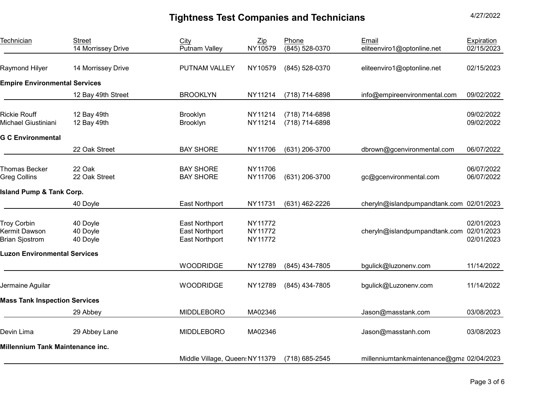Technician Street City Zip Phone Email Expiration 14 Morrissey Drive Putnam Valley NY10579 (845) 528-0370 [eliteenviro1@optonline.net](mailto:eliteenviro1@optonline.net) 02/15/2023 Raymond Hilyer 14 Morrissey Drive PUTNAM VALLEY NY10579 (845) 528-0370 [eliteenviro1@optonline.net](mailto:eliteenviro1@optonline.net) 02/15/2023 **Empire Environmental Services**  12 Bay 49th Street BROOKLYN NY11214 (718) 714-6898 [info@empireenvironmental.com](mailto:info@empireenvironmental.com) 09/02/2022 Rickie Rouff 12 Bay 49th Brooklyn NY11214 (718) 714-6898 09/02/2022 Michael Giustiniani 12 Bay 49th Brooklyn NY11214 (718) 714-6898 09/02/2022 **G C Environmental**  22 Oak Street BAY SHORE NY11706 (631) 206-3700 [dbrown@gcenvironmental.com](mailto:dbrown@gcenvironmental.com) 06/07/2022 Thomas Becker 22 Oak BAY SHORE NY11706 06/07/2022 Greg Collins 22 Oak Street BAY SHORE NY11706 (631) 206-3700 [gc@gcenvironmental.com](mailto:gc@gcenvironmental.com) 06/07/2022 **Island Pump & Tank Corp.**  40 Doyle East Northport NY11731 (631) 462-2226 [cheryln@islandpumpandtank.com](mailto:cheryln@islandpumpandtank.com) 02/01/2023 Troy Corbin 40 Doyle East Northport NY11772 02/01/2023 Kermit Dawson 40 Doyle East Northport NY11772 [cheryln@islandpumpandtank.com](mailto:cheryln@islandpumpandtank.com) 02/01/2023 Brian Sjostrom 40 Doyle East Northport NY11772 02/01/2023 **Luzon Environmental Services**  WOODRIDGE NY12789 (845) 434-7805 [bgulick@luzonenv.com](mailto:bgulick@luzonenv.com) 11/14/2022 Jermaine Aguilar WOODRIDGE NY12789 (845) 434-7805 [bgulick@Luzonenv.com](mailto:bgulick@Luzonenv.com) 11/14/2022 **Mass Tank Inspection Services**  29 Abbey MIDDLEBORO MA02346 [Jason@masstank.com](mailto:Jason@masstank.com) 03/08/2023 Devin Lima 29 Abbey Lane MIDDLEBORO MA02346 Jason@masstanh.com 03/08/2023 **Millennium Tank Maintenance inc.** Middle Village, Queen: NY 11379 (718) 685-2545 millenniumtankmaintenance@gma 02/04/2023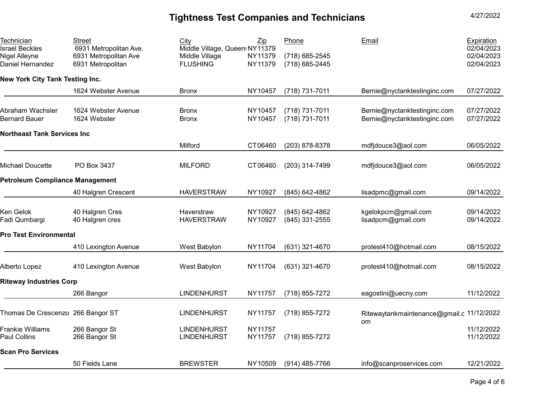**Technician** Israel Beckles Nigel Alleyne Daniel Hernandez Street 6931 Metropolitan Ave. 6931 Metropolitan Ave 6931 Metropolitan City Zip Middle Village, Queen: NY11379 Middle Village NY11379 FLUSHING NY11379 Phone (718) 685-2545 (718) 685-2445 Email Expiration 02/04/2023 02/04/2023 02/04/2023 **New York City Tank Testing Inc.**  1624 Webster Avenue Bronx NY10457 (718) 731-7011 Bernie@nyctanktestinginc.com 07/27/2022 Abraham Wachsler 1624 Webster Avenue Bronx NY10457 (718) 731-7011 [Bernie@nyctanktestinginc.com](mailto:Bernie@nyctanktestinginc.com) 07/27/2022 Bernard Bauer 1624 Webster Bronx NY10457 (718) 731-7011 [Bernie@nyctanktestinginc.com](mailto:Bernie@nyctanktestinginc.com) 07/27/2022 **Northeast Tank Services Inc**  Milford CT06460 (203) 878-8378 [mdfjdouce3@aol.com](mailto:mdfjdouce3@aol.com) 06/05/2022 Michael Doucette PO Box 3437 MILFORD CT06460 (203) 314-7499 [mdfjdouce3@aol.com](mailto:mdfjdouce3@aol.com) 06/05/2022 **Petroleum Compliance Management**  40 Halgren Crescent HAVERSTRAW NY10927 (845) 642-4862 [lisadpmc@gmail.com](mailto:lisadpmc@gmail.com) 09/14/2022 Ken Gelok 40 Halgren Cres Haverstraw NY10927 (845) 642-4862 [kgelokpcm@gmail.com](mailto:kgelokpcm@gmail.com) 09/14/2022 Fadi Qumbargi 40 Halgren cres HAVERSTRAW NY10927 (845) 331-2555 [lisadpcm@gmail.com](mailto:lisadpcm@gmail.com) 09/14/2022 **Pro Test Environmental** 410 Lexington Avenue West Babylon NY11704 (631) 321-4670 [protest410@hotmail.com](mailto:protest410@hotmail.com) 08/15/2022 Alberto Lopez 410 Lexington Avenue West Babylon NY11704 (631) 321-4670 [protest410@hotmail.com](mailto:protest410@hotmail.com) 08/15/2022 **Riteway Industries Corp**  266 Bangor LINDENHURST NY11757 (718) 855-7272 [eagostini@uecny.com](mailto:eagostini@uecny.com) 11/12/2022 Thomas De Crescenzo 266 Bangor ST LINDENHURST NY11757 (718) 855-7272 [Ritewaytankmaintenance@gmail.c](mailto:Ritewaytankmaintenance@gmail.c11/12/2022) 11/12/2022 om Frankie Williams 266 Bangor St LINDENHURST NY11757 11/12/2022 Paul Collins 266 Bangor St LINDENHURST NY11757 (718) 855-7272 11/12/2022 **Scan Pro Services** 50 Fields Lane BREWSTER NY10509 (914) 485-7766 [info@scanproservices.com](mailto:info@scanproservices.com) 12/21/2022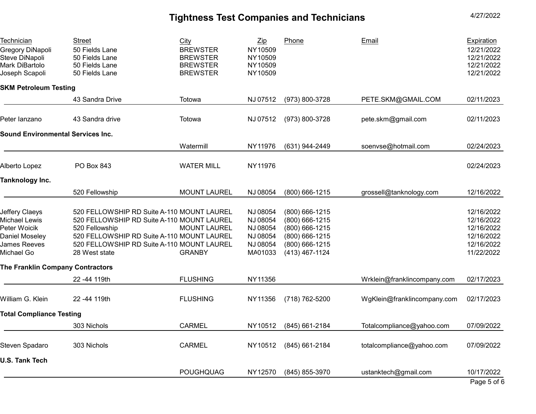| Technician<br>Gregory DiNapoli<br>Steve DiNapoli<br>Mark DiBartolo<br>Joseph Scapoli                   | Street<br>50 Fields Lane<br>50 Fields Lane<br>50 Fields Lane<br>50 Fields Lane                                                                                                                                          | City<br><b>BREWSTER</b><br><b>BREWSTER</b><br><b>BREWSTER</b><br><b>BREWSTER</b> | $\mathsf{Zip}$<br>NY10509<br>NY10509<br>NY10509<br>NY10509          | Phone                                                                                                    | Email                       | <b>Expiration</b><br>12/21/2022<br>12/21/2022<br>12/21/2022<br>12/21/2022        |
|--------------------------------------------------------------------------------------------------------|-------------------------------------------------------------------------------------------------------------------------------------------------------------------------------------------------------------------------|----------------------------------------------------------------------------------|---------------------------------------------------------------------|----------------------------------------------------------------------------------------------------------|-----------------------------|----------------------------------------------------------------------------------|
| <b>SKM Petroleum Testing</b>                                                                           |                                                                                                                                                                                                                         |                                                                                  |                                                                     |                                                                                                          |                             |                                                                                  |
|                                                                                                        | 43 Sandra Drive                                                                                                                                                                                                         | Totowa                                                                           | NJ 07512                                                            | (973) 800-3728                                                                                           | PETE.SKM@GMAIL.COM          | 02/11/2023                                                                       |
| Peter lanzano                                                                                          | 43 Sandra drive                                                                                                                                                                                                         | Totowa                                                                           | NJ 07512                                                            | (973) 800-3728                                                                                           | pete.skm@gmail.com          | 02/11/2023                                                                       |
| <b>Sound Environmental Services Inc.</b>                                                               |                                                                                                                                                                                                                         |                                                                                  |                                                                     |                                                                                                          |                             |                                                                                  |
|                                                                                                        |                                                                                                                                                                                                                         | Watermill                                                                        | NY11976                                                             | (631) 944-2449                                                                                           | soenvse@hotmail.com         | 02/24/2023                                                                       |
| <b>Alberto Lopez</b>                                                                                   | <b>PO Box 843</b>                                                                                                                                                                                                       | <b>WATER MILL</b>                                                                | NY11976                                                             |                                                                                                          |                             | 02/24/2023                                                                       |
| Tanknology Inc.                                                                                        |                                                                                                                                                                                                                         |                                                                                  |                                                                     |                                                                                                          |                             |                                                                                  |
|                                                                                                        | 520 Fellowship                                                                                                                                                                                                          | <b>MOUNT LAUREL</b>                                                              | NJ 08054                                                            | $(800)$ 666-1215                                                                                         | grossell@tanknology.com     | 12/16/2022                                                                       |
| <b>Jeffery Claeys</b><br>Michael Lewis<br>Peter Woicik<br>Daniel Moseley<br>James Reeves<br>Michael Go | 520 FELLOWSHIP RD Suite A-110 MOUNT LAUREL<br>520 FELLOWSHIP RD Suite A-110 MOUNT LAUREL<br>520 Fellowship<br>520 FELLOWSHIP RD Suite A-110 MOUNT LAUREL<br>520 FELLOWSHIP RD Suite A-110 MOUNT LAUREL<br>28 West state | <b>MOUNT LAUREL</b><br><b>GRANBY</b>                                             | NJ 08054<br>NJ 08054<br>NJ 08054<br>NJ 08054<br>NJ 08054<br>MA01033 | (800) 666-1215<br>(800) 666-1215<br>(800) 666-1215<br>(800) 666-1215<br>(800) 666-1215<br>(413) 467-1124 |                             | 12/16/2022<br>12/16/2022<br>12/16/2022<br>12/16/2022<br>12/16/2022<br>11/22/2022 |
| The Franklin Company Contractors                                                                       |                                                                                                                                                                                                                         |                                                                                  |                                                                     |                                                                                                          |                             |                                                                                  |
|                                                                                                        | 22 - 44 119th                                                                                                                                                                                                           | <b>FLUSHING</b>                                                                  | NY11356                                                             |                                                                                                          | Wrklein@franklincompany.com | 02/17/2023                                                                       |
| William G. Klein                                                                                       | 22-44 119th                                                                                                                                                                                                             | <b>FLUSHING</b>                                                                  | NY11356                                                             | (718) 762-5200                                                                                           | WgKlein@franklincompany.com | 02/17/2023                                                                       |
| <b>Total Compliance Testing</b>                                                                        |                                                                                                                                                                                                                         |                                                                                  |                                                                     |                                                                                                          |                             |                                                                                  |
|                                                                                                        | 303 Nichols                                                                                                                                                                                                             | <b>CARMEL</b>                                                                    | NY10512                                                             | (845) 661-2184                                                                                           | Totalcompliance@yahoo.com   | 07/09/2022                                                                       |
| Steven Spadaro                                                                                         | 303 Nichols                                                                                                                                                                                                             | <b>CARMEL</b>                                                                    | NY10512                                                             | (845) 661-2184                                                                                           | totalcompliance@yahoo.com   | 07/09/2022                                                                       |
| <b>U.S. Tank Tech</b>                                                                                  |                                                                                                                                                                                                                         |                                                                                  |                                                                     |                                                                                                          |                             |                                                                                  |
|                                                                                                        |                                                                                                                                                                                                                         | <b>POUGHQUAG</b>                                                                 | NY12570                                                             | (845) 855-3970                                                                                           | ustanktech@gmail.com        | 10/17/2022<br>$D - I - I - I$                                                    |

Page 5 of 6